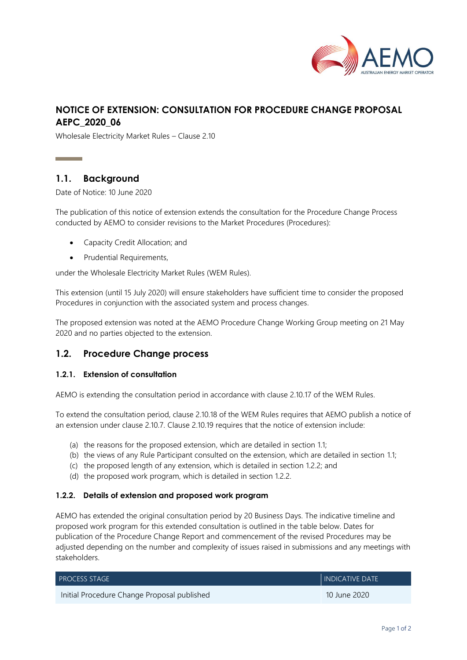

# **NOTICE OF EXTENSION: CONSULTATION FOR PROCEDURE CHANGE PROPOSAL AEPC\_2020\_06**

Wholesale Electricity Market Rules – Clause 2.10

# <span id="page-0-0"></span>**1.1. Background**

Date of Notice: 10 June 2020

The publication of this notice of extension extends the consultation for the Procedure Change Process conducted by AEMO to consider revisions to the Market Procedures (Procedures):

- Capacity Credit Allocation; and
- Prudential Requirements,

under the Wholesale Electricity Market Rules (WEM Rules).

This extension (until 15 July 2020) will ensure stakeholders have sufficient time to consider the proposed Procedures in conjunction with the associated system and process changes.

The proposed extension was noted at the AEMO Procedure Change Working Group meeting on 21 May 2020 and no parties objected to the extension.

# **1.2. Procedure Change process**

#### **1.2.1. Extension of consultation**

AEMO is extending the consultation period in accordance with clause 2.10.17 of the WEM Rules.

To extend the consultation period, clause 2.10.18 of the WEM Rules requires that AEMO publish a notice of an extension under clause 2.10.7. Clause 2.10.19 requires that the notice of extension include:

- (a) the reasons for the proposed extension, which are detailed in section [1.1;](#page-0-0)
- (b) the views of any Rule Participant consulted on the extension, which are detailed in section [1.1;](#page-0-0)
- (c) the proposed length of any extension, which is detailed in section [1.2.2;](#page-0-1) and
- (d) the proposed work program, which is detailed in section [1.2.2.](#page-0-1)

#### <span id="page-0-1"></span>**1.2.2. Details of extension and proposed work program**

AEMO has extended the original consultation period by 20 Business Days. The indicative timeline and proposed work program for this extended consultation is outlined in the table below. Dates for publication of the Procedure Change Report and commencement of the revised Procedures may be adjusted depending on the number and complexity of issues raised in submissions and any meetings with stakeholders.

| <b>PROCESS STAGE</b>                        | <b>INDICATIVE DATE</b> |
|---------------------------------------------|------------------------|
| Initial Procedure Change Proposal published | 10 June 2020           |